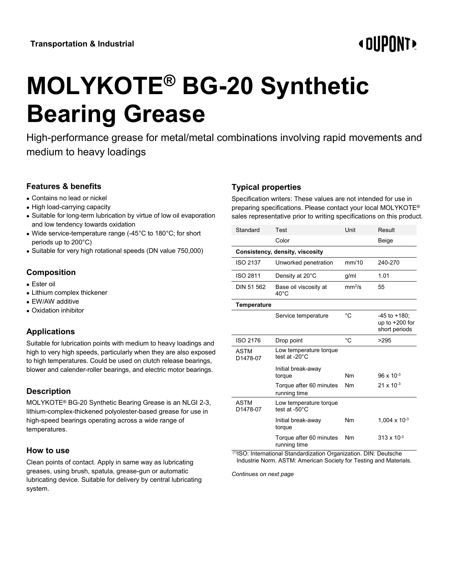# **« OUPONT**

# **MOLYKOTE® BG-20 Synthetic Bearing Grease**

High-performance grease for metal/metal combinations involving rapid movements and medium to heavy loadings

# **Features & benefits**

- Contains no lead or nickel
- High load-carrying capacity
- Suitable for long-term lubrication by virtue of low oil evaporation and low tendency towards oxidation
- Wide service-temperature range (-45°C to 180°C; for short periods up to 200°C)
- Suitable for very high rotational speeds (DN value 750,000)

# **Composition**

- Ester oil
- Lithium complex thickener
- EW/AW additive
- Oxidation inhibitor

# **Applications**

Suitable for lubrication points with medium to heavy loadings and high to very high speeds, particularly when they are also exposed to high temperatures. Could be used on clutch release bearings, blower and calender-roller bearings, and electric motor bearings.

# **Description**

MOLYKOTE® BG-20 Synthetic Bearing Grease is an NLGI 2-3, lithium-complex-thickened polyolester-based grease for use in high-speed bearings operating across a wide range of temperatures.

#### **How to use**

Clean points of contact. Apply in same way as lubricating greases, using brush, spatula, grease-gun or automatic lubricating device. Suitable for delivery by central lubricating system.

#### **Typical properties**

Specification writers: These values are not intended for use in preparing specifications. Please contact your local MOLYKOTE® sales representative prior to writing specifications on this product.

| Standard                        | Test                                    | Unit               | Result                                            |  |  |
|---------------------------------|-----------------------------------------|--------------------|---------------------------------------------------|--|--|
|                                 | Color                                   |                    | Beige                                             |  |  |
| Consistency, density, viscosity |                                         |                    |                                                   |  |  |
| <b>ISO 2137</b>                 | Unworked penetration                    | mm/10              | 240-270                                           |  |  |
| ISO 2811                        | Density at 20°C                         | g/ml               | 1.01                                              |  |  |
| DIN 51 562                      | Base oil viscosity at<br>$40^{\circ}$ C | mm <sup>2</sup> /s | 55                                                |  |  |
| Temperature                     |                                         |                    |                                                   |  |  |
|                                 | Service temperature                     | °C                 | -45 to +180;<br>up to $+200$ for<br>short periods |  |  |
| ISO 2176                        | Drop point                              | °C                 | >295                                              |  |  |
| <b>ASTM</b><br>D1478-07         | Low temperature torque<br>test at -20°C |                    |                                                   |  |  |
|                                 | Initial break-away<br>torque            | Nm                 | $96 \times 10^{-3}$                               |  |  |
|                                 | Torque after 60 minutes<br>running time | Nm                 | $21 \times 10^{-3}$                               |  |  |
| <b>ASTM</b><br>D1478-07         | Low temperature torque<br>test at -50°C |                    |                                                   |  |  |
|                                 | Initial break-away<br>torque            | Nm                 | 1,004 x 10 $-3$                                   |  |  |
|                                 | Torque after 60 minutes<br>running time | Nm                 | $313 \times 10^{-3}$                              |  |  |

(1)ISO: International Standardization Organization. DIN: Deutsche Industrie Norm. ASTM: American Society for Testing and Materials.

*Continues on next page*